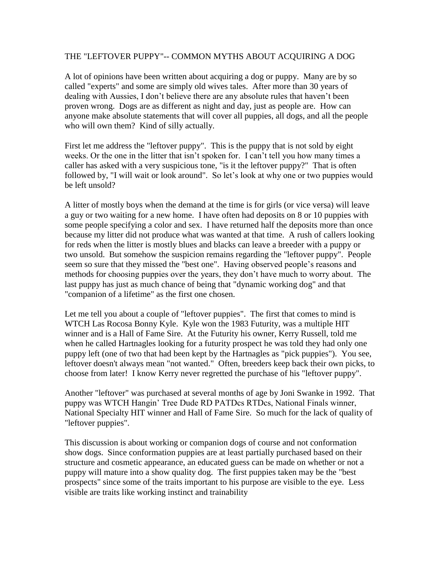## THE "LEFTOVER PUPPY"-- COMMON MYTHS ABOUT ACQUIRING A DOG

A lot of opinions have been written about acquiring a dog or puppy. Many are by so called "experts" and some are simply old wives tales. After more than 30 years of dealing with Aussies, I don't believe there are any absolute rules that haven't been proven wrong. Dogs are as different as night and day, just as people are. How can anyone make absolute statements that will cover all puppies, all dogs, and all the people who will own them? Kind of silly actually.

First let me address the "leftover puppy". This is the puppy that is not sold by eight weeks. Or the one in the litter that isn't spoken for. I can't tell you how many times a caller has asked with a very suspicious tone, "is it the leftover puppy?" That is often followed by, "I will wait or look around". So let's look at why one or two puppies would be left unsold?

A litter of mostly boys when the demand at the time is for girls (or vice versa) will leave a guy or two waiting for a new home. I have often had deposits on 8 or 10 puppies with some people specifying a color and sex. I have returned half the deposits more than once because my litter did not produce what was wanted at that time. A rush of callers looking for reds when the litter is mostly blues and blacks can leave a breeder with a puppy or two unsold. But somehow the suspicion remains regarding the "leftover puppy". People seem so sure that they missed the "best one". Having observed people's reasons and methods for choosing puppies over the years, they don't have much to worry about. The last puppy has just as much chance of being that "dynamic working dog" and that "companion of a lifetime" as the first one chosen.

Let me tell you about a couple of "leftover puppies". The first that comes to mind is WTCH Las Rocosa Bonny Kyle. Kyle won the 1983 Futurity, was a multiple HIT winner and is a Hall of Fame Sire. At the Futurity his owner, Kerry Russell, told me when he called Hartnagles looking for a futurity prospect he was told they had only one puppy left (one of two that had been kept by the Hartnagles as "pick puppies"). You see, leftover doesn't always mean "not wanted." Often, breeders keep back their own picks, to choose from later! I know Kerry never regretted the purchase of his "leftover puppy".

Another "leftover" was purchased at several months of age by Joni Swanke in 1992. That puppy was WTCH Hangin' Tree Dude RD PATDcs RTDcs, National Finals winner, National Specialty HIT winner and Hall of Fame Sire. So much for the lack of quality of "leftover puppies".

This discussion is about working or companion dogs of course and not conformation show dogs. Since conformation puppies are at least partially purchased based on their structure and cosmetic appearance, an educated guess can be made on whether or not a puppy will mature into a show quality dog. The first puppies taken may be the "best prospects" since some of the traits important to his purpose are visible to the eye. Less visible are traits like working instinct and trainability